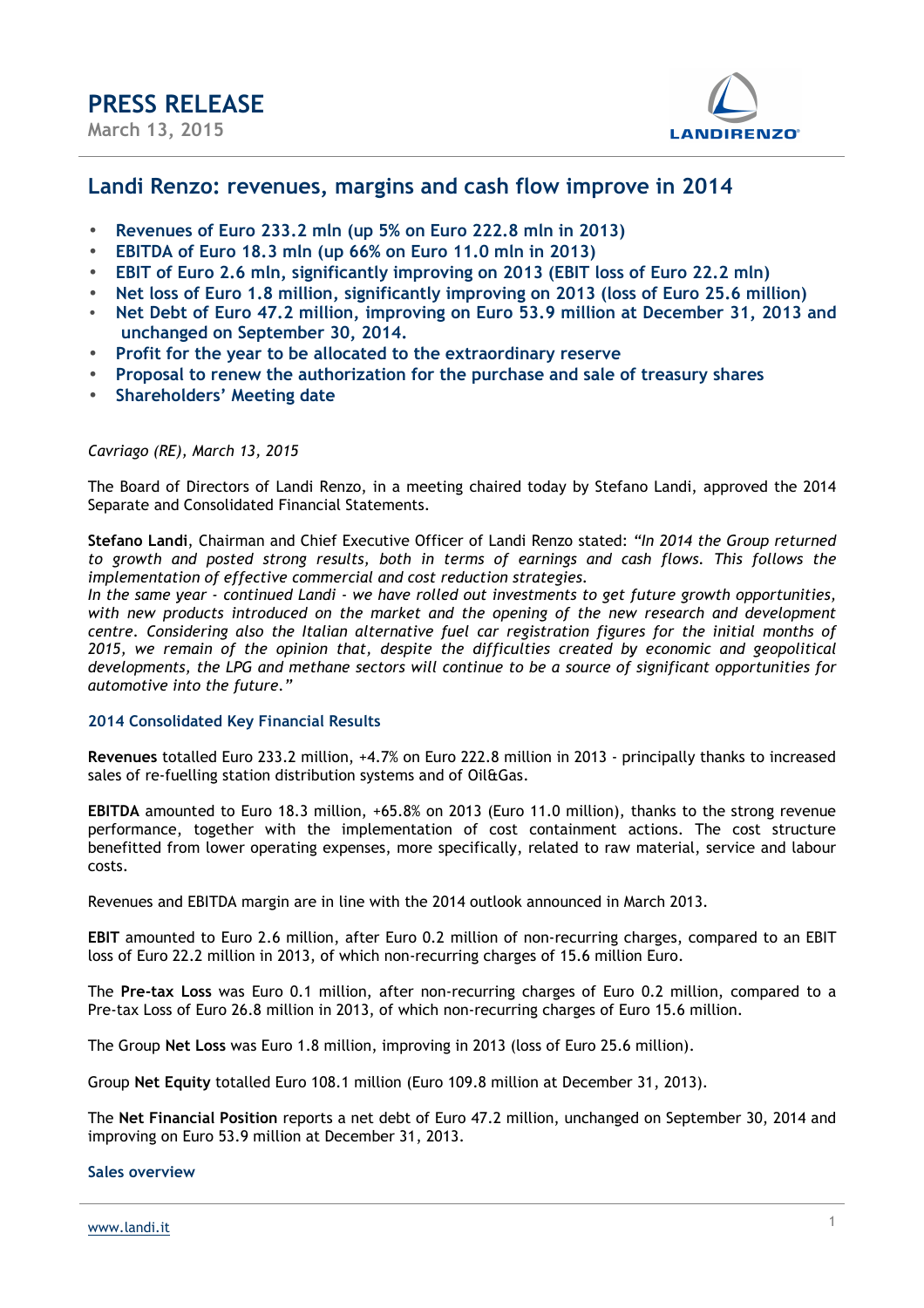

### **Landi Renzo: revenues, margins and cash flow improve in 2014**

- **Revenues of Euro 233.2 mln (up 5% on Euro 222.8 mln in 2013)**
- **EBITDA of Euro 18.3 mln (up 66% on Euro 11.0 mln in 2013)**
- **EBIT of Euro 2.6 mln, significantly improving on 2013 (EBIT loss of Euro 22.2 mln)**
- **Net loss of Euro 1.8 million, significantly improving on 2013 (loss of Euro 25.6 million)**
- **Net Debt of Euro 47.2 million, improving on Euro 53.9 million at December 31, 2013 and unchanged on September 30, 2014.**
- **Profit for the year to be allocated to the extraordinary reserve**
- **Proposal to renew the authorization for the purchase and sale of treasury shares**
- **Shareholders' Meeting date**

#### *Cavriago (RE), March 13, 2015*

The Board of Directors of Landi Renzo, in a meeting chaired today by Stefano Landi, approved the 2014 Separate and Consolidated Financial Statements.

**Stefano Landi**, Chairman and Chief Executive Officer of Landi Renzo stated: *"In 2014 the Group returned to growth and posted strong results, both in terms of earnings and cash flows. This follows the implementation of effective commercial and cost reduction strategies.* 

*In the same year - continued Landi - we have rolled out investments to get future growth opportunities, with new products introduced on the market and the opening of the new research and development centre. Considering also the Italian alternative fuel car registration figures for the initial months of 2015, we remain of the opinion that, despite the difficulties created by economic and geopolitical developments, the LPG and methane sectors will continue to be a source of significant opportunities for automotive into the future."* 

#### **2014 Consolidated Key Financial Results**

**Revenues** totalled Euro 233.2 million, +4.7% on Euro 222.8 million in 2013 - principally thanks to increased sales of re-fuelling station distribution systems and of Oil&Gas.

**EBITDA** amounted to Euro 18.3 million, +65.8% on 2013 (Euro 11.0 million), thanks to the strong revenue performance, together with the implementation of cost containment actions. The cost structure benefitted from lower operating expenses, more specifically, related to raw material, service and labour costs.

Revenues and EBITDA margin are in line with the 2014 outlook announced in March 2013.

**EBIT** amounted to Euro 2.6 million, after Euro 0.2 million of non-recurring charges, compared to an EBIT loss of Euro 22.2 million in 2013, of which non-recurring charges of 15.6 million Euro.

The **Pre-tax Loss** was Euro 0.1 million, after non-recurring charges of Euro 0.2 million, compared to a Pre-tax Loss of Euro 26.8 million in 2013, of which non-recurring charges of Euro 15.6 million.

The Group **Net Loss** was Euro 1.8 million, improving in 2013 (loss of Euro 25.6 million).

Group **Net Equity** totalled Euro 108.1 million (Euro 109.8 million at December 31, 2013).

The **Net Financial Position** reports a net debt of Euro 47.2 million, unchanged on September 30, 2014 and improving on Euro 53.9 million at December 31, 2013.

#### **Sales overview**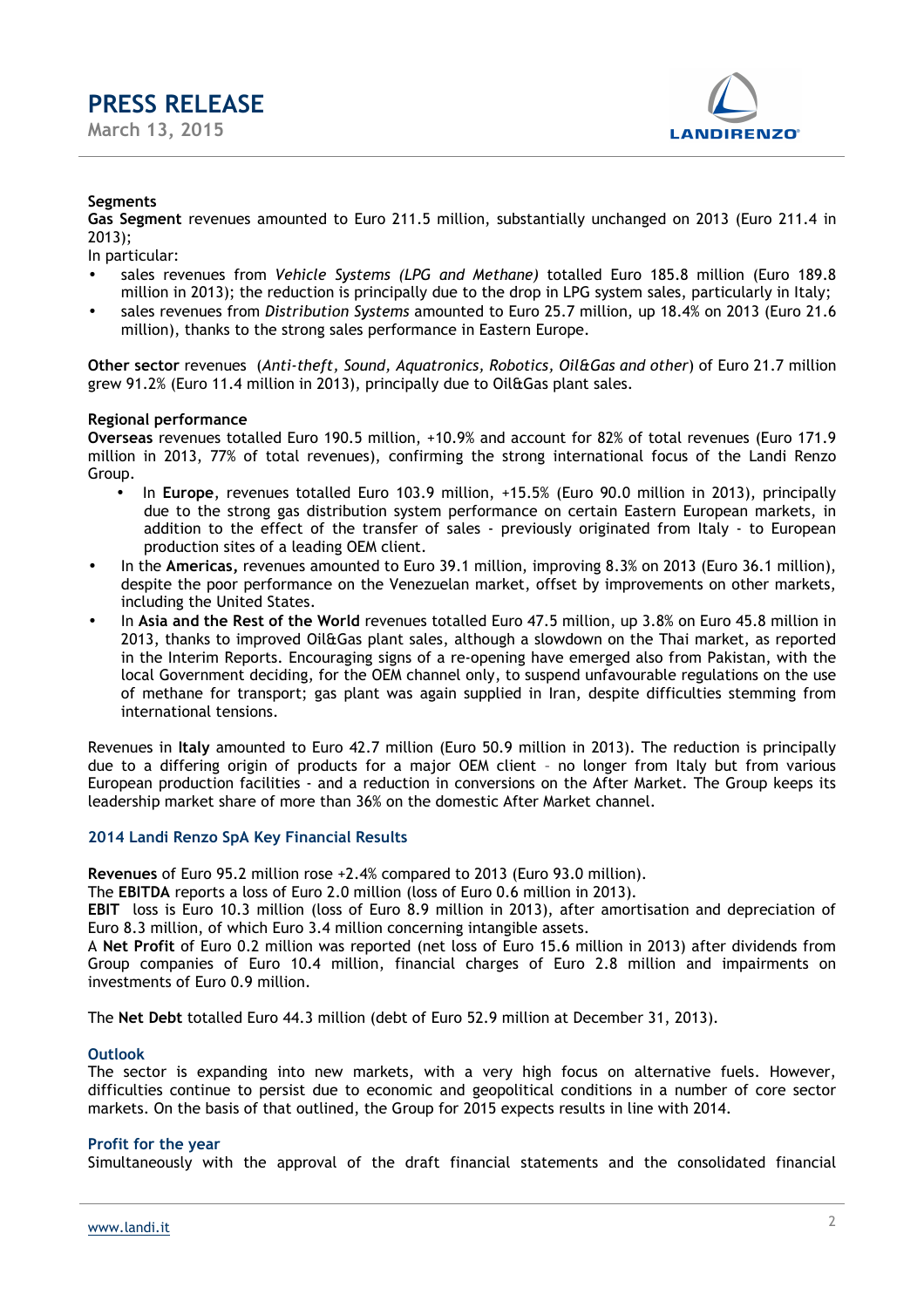

#### **Segments**

**Gas Segment** revenues amounted to Euro 211.5 million, substantially unchanged on 2013 (Euro 211.4 in 2013);

In particular:

- sales revenues from *Vehicle Systems (LPG and Methane)* totalled Euro 185.8 million (Euro 189.8 million in 2013); the reduction is principally due to the drop in LPG system sales, particularly in Italy;
- sales revenues from *Distribution Systems* amounted to Euro 25.7 million, up 18.4% on 2013 (Euro 21.6 million), thanks to the strong sales performance in Eastern Europe.

**Other sector** revenues (*Anti-theft, Sound, Aquatronics, Robotics, Oil&Gas and other*) of Euro 21.7 million grew 91.2% (Euro 11.4 million in 2013), principally due to Oil&Gas plant sales.

#### **Regional performance**

**Overseas** revenues totalled Euro 190.5 million, +10.9% and account for 82% of total revenues (Euro 171.9 million in 2013, 77% of total revenues), confirming the strong international focus of the Landi Renzo Group.

- In **Europe**, revenues totalled Euro 103.9 million, +15.5% (Euro 90.0 million in 2013), principally due to the strong gas distribution system performance on certain Eastern European markets, in addition to the effect of the transfer of sales - previously originated from Italy - to European production sites of a leading OEM client.
- In the **Americas,** revenues amounted to Euro 39.1 million, improving 8.3% on 2013 (Euro 36.1 million), despite the poor performance on the Venezuelan market, offset by improvements on other markets, including the United States.
- In **Asia and the Rest of the World** revenues totalled Euro 47.5 million, up 3.8% on Euro 45.8 million in 2013, thanks to improved Oil&Gas plant sales, although a slowdown on the Thai market, as reported in the Interim Reports. Encouraging signs of a re-opening have emerged also from Pakistan, with the local Government deciding, for the OEM channel only, to suspend unfavourable regulations on the use of methane for transport; gas plant was again supplied in Iran, despite difficulties stemming from international tensions.

Revenues in **Italy** amounted to Euro 42.7 million (Euro 50.9 million in 2013). The reduction is principally due to a differing origin of products for a major OEM client – no longer from Italy but from various European production facilities - and a reduction in conversions on the After Market. The Group keeps its leadership market share of more than 36% on the domestic After Market channel.

#### **2014 Landi Renzo SpA Key Financial Results**

**Revenues** of Euro 95.2 million rose +2.4% compared to 2013 (Euro 93.0 million).

The **EBITDA** reports a loss of Euro 2.0 million (loss of Euro 0.6 million in 2013).

**EBIT** loss is Euro 10.3 million (loss of Euro 8.9 million in 2013), after amortisation and depreciation of Euro 8.3 million, of which Euro 3.4 million concerning intangible assets.

A **Net Profit** of Euro 0.2 million was reported (net loss of Euro 15.6 million in 2013) after dividends from Group companies of Euro 10.4 million, financial charges of Euro 2.8 million and impairments on investments of Euro 0.9 million.

The **Net Debt** totalled Euro 44.3 million (debt of Euro 52.9 million at December 31, 2013).

#### **Outlook**

The sector is expanding into new markets, with a very high focus on alternative fuels. However, difficulties continue to persist due to economic and geopolitical conditions in a number of core sector markets. On the basis of that outlined, the Group for 2015 expects results in line with 2014.

#### **Profit for the year**

Simultaneously with the approval of the draft financial statements and the consolidated financial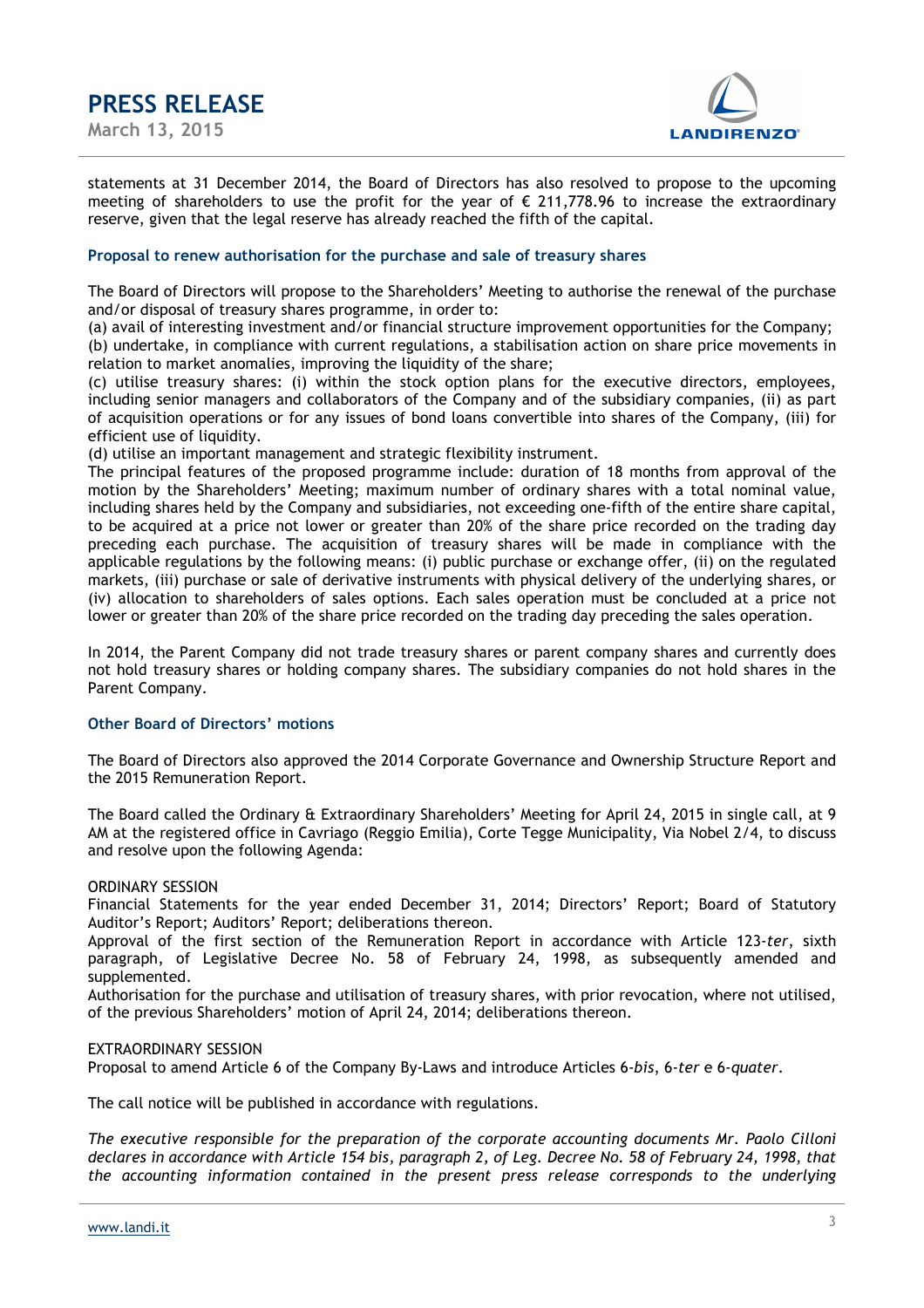



statements at 31 December 2014, the Board of Directors has also resolved to propose to the upcoming meeting of shareholders to use the profit for the year of  $\epsilon$  211,778.96 to increase the extraordinary reserve, given that the legal reserve has already reached the fifth of the capital.

#### **Proposal to renew authorisation for the purchase and sale of treasury shares**

The Board of Directors will propose to the Shareholders' Meeting to authorise the renewal of the purchase and/or disposal of treasury shares programme, in order to:

(a) avail of interesting investment and/or financial structure improvement opportunities for the Company; (b) undertake, in compliance with current regulations, a stabilisation action on share price movements in relation to market anomalies, improving the liquidity of the share;

(c) utilise treasury shares: (i) within the stock option plans for the executive directors, employees, including senior managers and collaborators of the Company and of the subsidiary companies, (ii) as part of acquisition operations or for any issues of bond loans convertible into shares of the Company, (iii) for efficient use of liquidity.

(d) utilise an important management and strategic flexibility instrument.

The principal features of the proposed programme include: duration of 18 months from approval of the motion by the Shareholders' Meeting; maximum number of ordinary shares with a total nominal value, including shares held by the Company and subsidiaries, not exceeding one-fifth of the entire share capital, to be acquired at a price not lower or greater than 20% of the share price recorded on the trading day preceding each purchase. The acquisition of treasury shares will be made in compliance with the applicable regulations by the following means: (i) public purchase or exchange offer, (ii) on the regulated markets, (iii) purchase or sale of derivative instruments with physical delivery of the underlying shares, or (iv) allocation to shareholders of sales options. Each sales operation must be concluded at a price not lower or greater than 20% of the share price recorded on the trading day preceding the sales operation.

In 2014, the Parent Company did not trade treasury shares or parent company shares and currently does not hold treasury shares or holding company shares. The subsidiary companies do not hold shares in the Parent Company.

#### **Other Board of Directors' motions**

The Board of Directors also approved the 2014 Corporate Governance and Ownership Structure Report and the 2015 Remuneration Report.

The Board called the Ordinary & Extraordinary Shareholders' Meeting for April 24, 2015 in single call, at 9 AM at the registered office in Cavriago (Reggio Emilia), Corte Tegge Municipality, Via Nobel 2/4, to discuss and resolve upon the following Agenda:

#### ORDINARY SESSION

Financial Statements for the year ended December 31, 2014; Directors' Report; Board of Statutory Auditor's Report; Auditors' Report; deliberations thereon.

Approval of the first section of the Remuneration Report in accordance with Article 123-*ter*, sixth paragraph, of Legislative Decree No. 58 of February 24, 1998, as subsequently amended and supplemented.

Authorisation for the purchase and utilisation of treasury shares, with prior revocation, where not utilised, of the previous Shareholders' motion of April 24, 2014; deliberations thereon.

#### EXTRAORDINARY SESSION

Proposal to amend Article 6 of the Company By-Laws and introduce Articles 6-*bis*, 6-*ter* e 6-*quater*.

The call notice will be published in accordance with regulations.

*The executive responsible for the preparation of the corporate accounting documents Mr. Paolo Cilloni declares in accordance with Article 154 bis, paragraph 2, of Leg. Decree No. 58 of February 24, 1998, that the accounting information contained in the present press release corresponds to the underlying*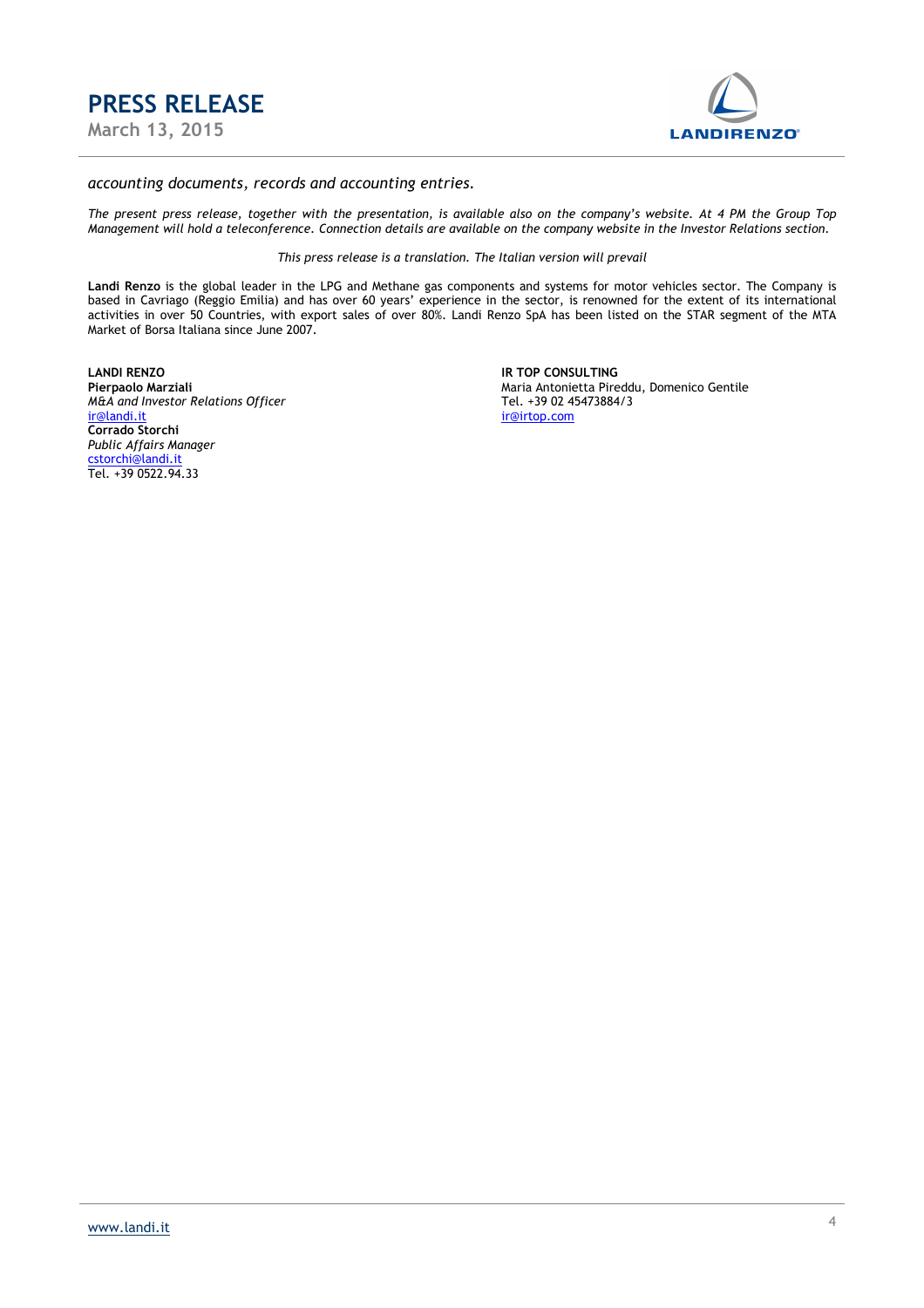



#### *accounting documents, records and accounting entries.*

*The present press release, together with the presentation, is available also on the company's website. At 4 PM the Group Top Management will hold a teleconference. Connection details are available on the company website in the Investor Relations section.* 

*This press release is a translation. The Italian version will prevail* 

**Landi Renzo** is the global leader in the LPG and Methane gas components and systems for motor vehicles sector. The Company is based in Cavriago (Reggio Emilia) and has over 60 years' experience in the sector, is renowned for the extent of its international activities in over 50 Countries, with export sales of over 80%. Landi Renzo SpA has been listed on the STAR segment of the MTA Market of Borsa Italiana since June 2007.

**LANDI RENZO IR TOP CONSULTING**  *M&A and Investor Relations Officer*<br>
<u>ir@landi.it</u> **Corrado Storchi** *Public Affairs Manager* cstorchi@landi.it Tel. +39 0522.94.33

Maria Antonietta Pireddu, Domenico Gentile<br>Tel. +39 02 45473884/3 ir@irtop.com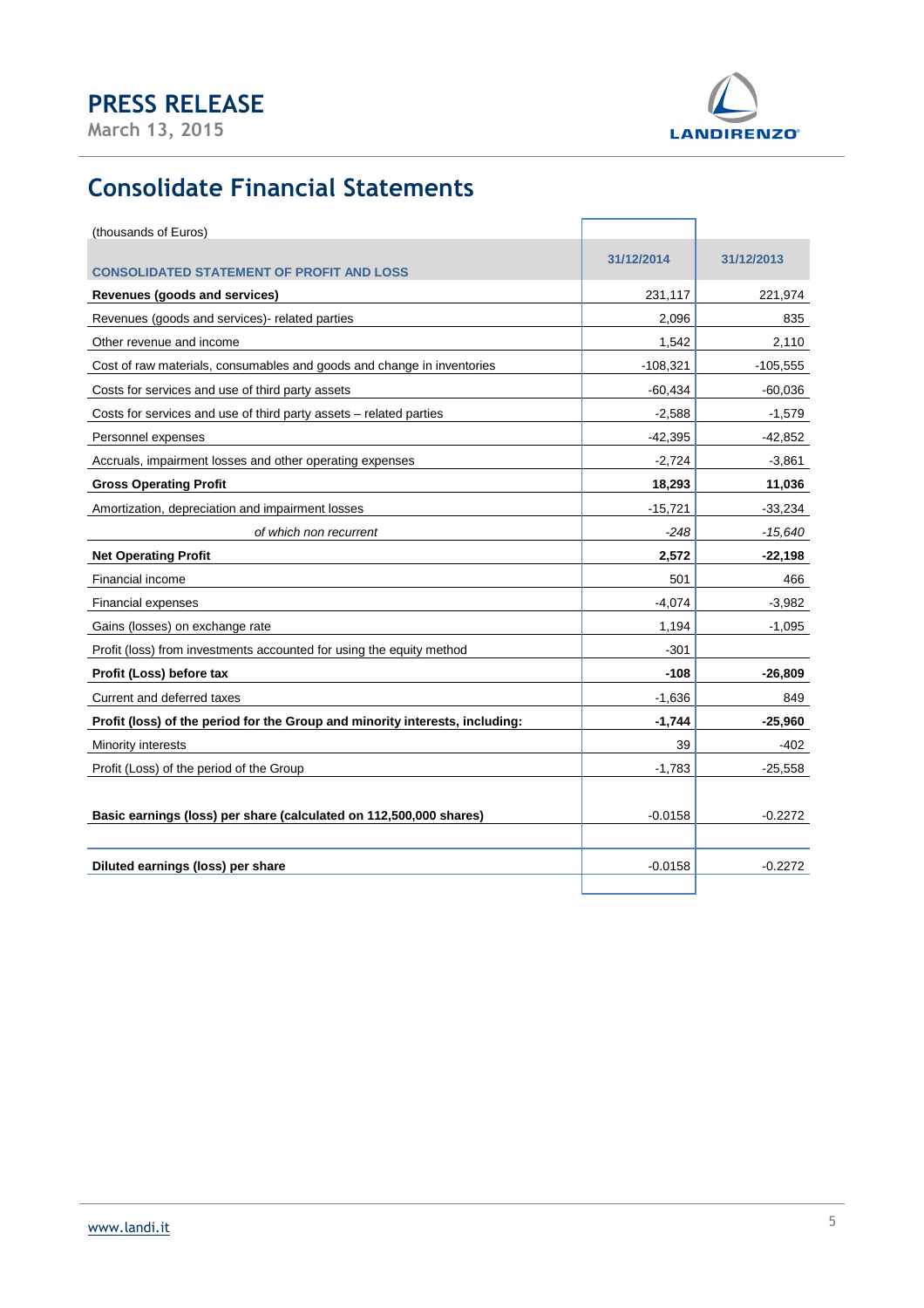**March 13, 2015** 



# **Consolidate Financial Statements**

| (thousands of Euros)                                                         |            |            |
|------------------------------------------------------------------------------|------------|------------|
|                                                                              | 31/12/2014 | 31/12/2013 |
| <b>CONSOLIDATED STATEMENT OF PROFIT AND LOSS</b>                             |            |            |
| Revenues (goods and services)                                                | 231,117    | 221,974    |
| Revenues (goods and services)- related parties                               | 2,096      | 835        |
| Other revenue and income                                                     | 1,542      | 2,110      |
| Cost of raw materials, consumables and goods and change in inventories       | $-108,321$ | $-105,555$ |
| Costs for services and use of third party assets                             | $-60,434$  | $-60,036$  |
| Costs for services and use of third party assets - related parties           | $-2,588$   | $-1,579$   |
| Personnel expenses                                                           | $-42,395$  | $-42,852$  |
| Accruals, impairment losses and other operating expenses                     | $-2,724$   | $-3,861$   |
| <b>Gross Operating Profit</b>                                                | 18,293     | 11,036     |
| Amortization, depreciation and impairment losses                             | $-15,721$  | $-33,234$  |
| of which non recurrent                                                       | -248       | $-15,640$  |
| <b>Net Operating Profit</b>                                                  | 2,572      | $-22,198$  |
| Financial income                                                             | 501        | 466        |
| <b>Financial expenses</b>                                                    | $-4,074$   | $-3,982$   |
| Gains (losses) on exchange rate                                              | 1,194      | $-1,095$   |
| Profit (loss) from investments accounted for using the equity method         | $-301$     |            |
| Profit (Loss) before tax                                                     | $-108$     | $-26,809$  |
| Current and deferred taxes                                                   | $-1,636$   | 849        |
| Profit (loss) of the period for the Group and minority interests, including: | $-1,744$   | $-25,960$  |
| Minority interests                                                           | 39         | -402       |
| Profit (Loss) of the period of the Group                                     | $-1,783$   | $-25,558$  |
|                                                                              |            |            |
| Basic earnings (loss) per share (calculated on 112,500,000 shares)           | $-0.0158$  | $-0.2272$  |
|                                                                              |            |            |
| Diluted earnings (loss) per share                                            | $-0.0158$  | $-0.2272$  |
|                                                                              |            |            |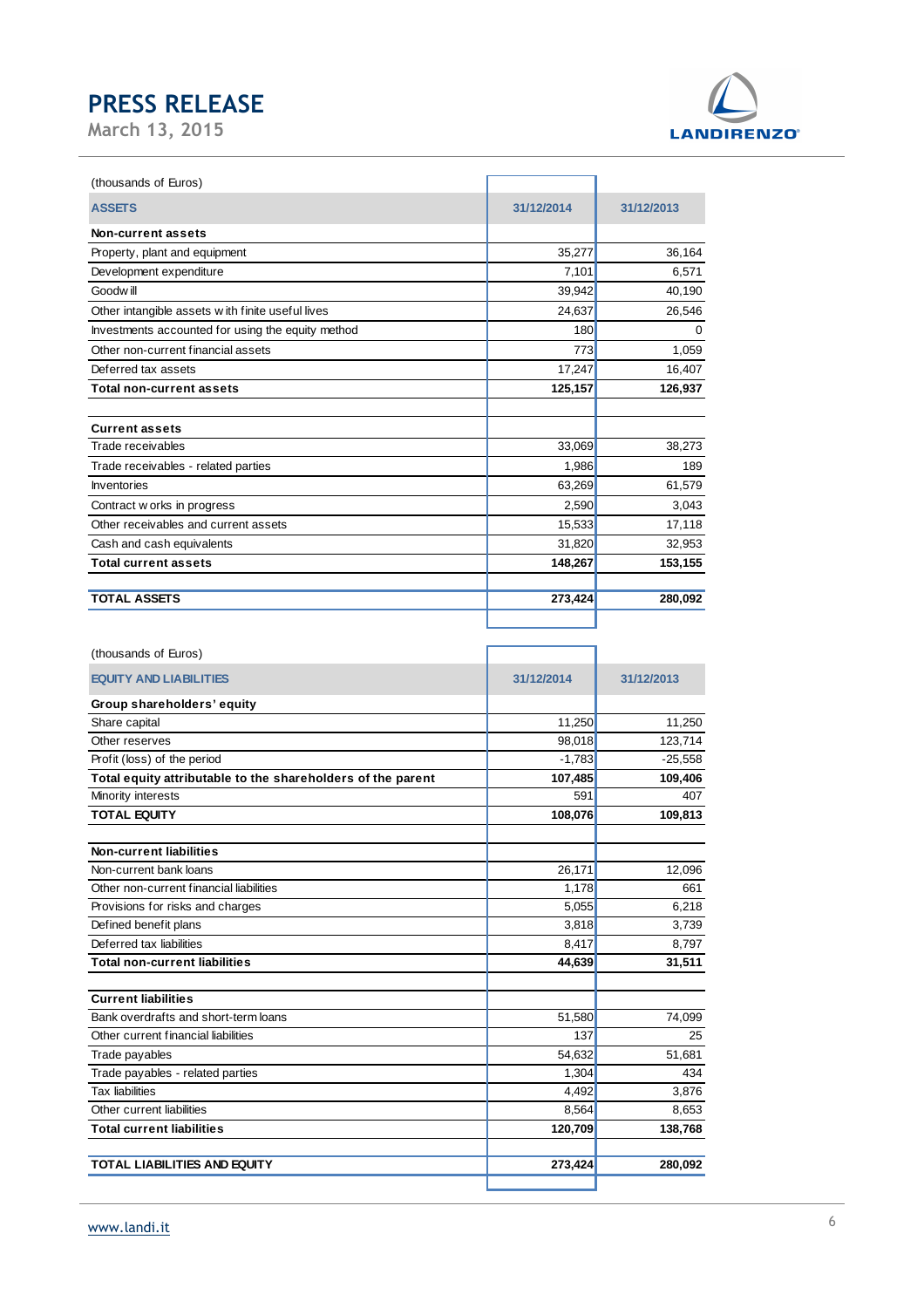

| (thousands of Euros)                              |            |            |
|---------------------------------------------------|------------|------------|
| <b>ASSETS</b>                                     | 31/12/2014 | 31/12/2013 |
| Non-current assets                                |            |            |
| Property, plant and equipment                     | 35,277     | 36,164     |
| Development expenditure                           | 7,101      | 6,571      |
| Goodw ill                                         | 39,942     | 40,190     |
| Other intangible assets with finite useful lives  | 24,637     | 26,546     |
| Investments accounted for using the equity method | 180        | 0          |
| Other non-current financial assets                | 773        | 1,059      |
| Deferred tax assets                               | 17,247     | 16,407     |
| <b>Total non-current assets</b>                   | 125,157    | 126,937    |
|                                                   |            |            |
| <b>Current assets</b>                             |            |            |
| Trade receivables                                 | 33,069     | 38,273     |
| Trade receivables - related parties               | 1,986      | 189        |
| Inventories                                       | 63,269     | 61,579     |
| Contract w orks in progress                       | 2,590      | 3,043      |
| Other receivables and current assets              | 15,533     | 17,118     |
| Cash and cash equivalents                         | 31,820     | 32,953     |
| <b>Total current assets</b>                       | 148,267    | 153,155    |
| <b>TOTAL ASSETS</b>                               | 273,424    | 280,092    |
|                                                   |            |            |

| (thousands of Euros)                                        |            |            |
|-------------------------------------------------------------|------------|------------|
| <b>EQUITY AND LIABILITIES</b>                               | 31/12/2014 | 31/12/2013 |
| Group shareholders' equity                                  |            |            |
| Share capital                                               | 11,250     | 11,250     |
| Other reserves                                              | 98,018     | 123,714    |
| Profit (loss) of the period                                 | $-1,783$   | $-25,558$  |
| Total equity attributable to the shareholders of the parent | 107,485    | 109,406    |
| Minority interests                                          | 591        | 407        |
| <b>TOTAL EQUITY</b>                                         | 108,076    | 109,813    |
| Non-current liabilities                                     |            |            |
| Non-current bank loans                                      | 26,171     | 12,096     |
| Other non-current financial liabilities                     | 1,178      | 661        |
| Provisions for risks and charges                            | 5,055      | 6,218      |
| Defined benefit plans                                       | 3,818      | 3,739      |
| Deferred tax liabilities                                    | 8,417      | 8,797      |
| <b>Total non-current liabilities</b>                        | 44,639     | 31,511     |
| <b>Current liabilities</b>                                  |            |            |
| Bank overdrafts and short-term loans                        | 51,580     | 74,099     |
| Other current financial liabilities                         | 137        | 25         |
| Trade payables                                              | 54,632     | 51,681     |
| Trade payables - related parties                            | 1,304      | 434        |
| <b>Tax liabilities</b>                                      | 4,492      | 3,876      |
| Other current liabilities                                   | 8,564      | 8,653      |
| <b>Total current liabilities</b>                            | 120,709    | 138,768    |
| <b>TOTAL LIABILITIES AND EQUITY</b>                         | 273,424    | 280,092    |
|                                                             |            |            |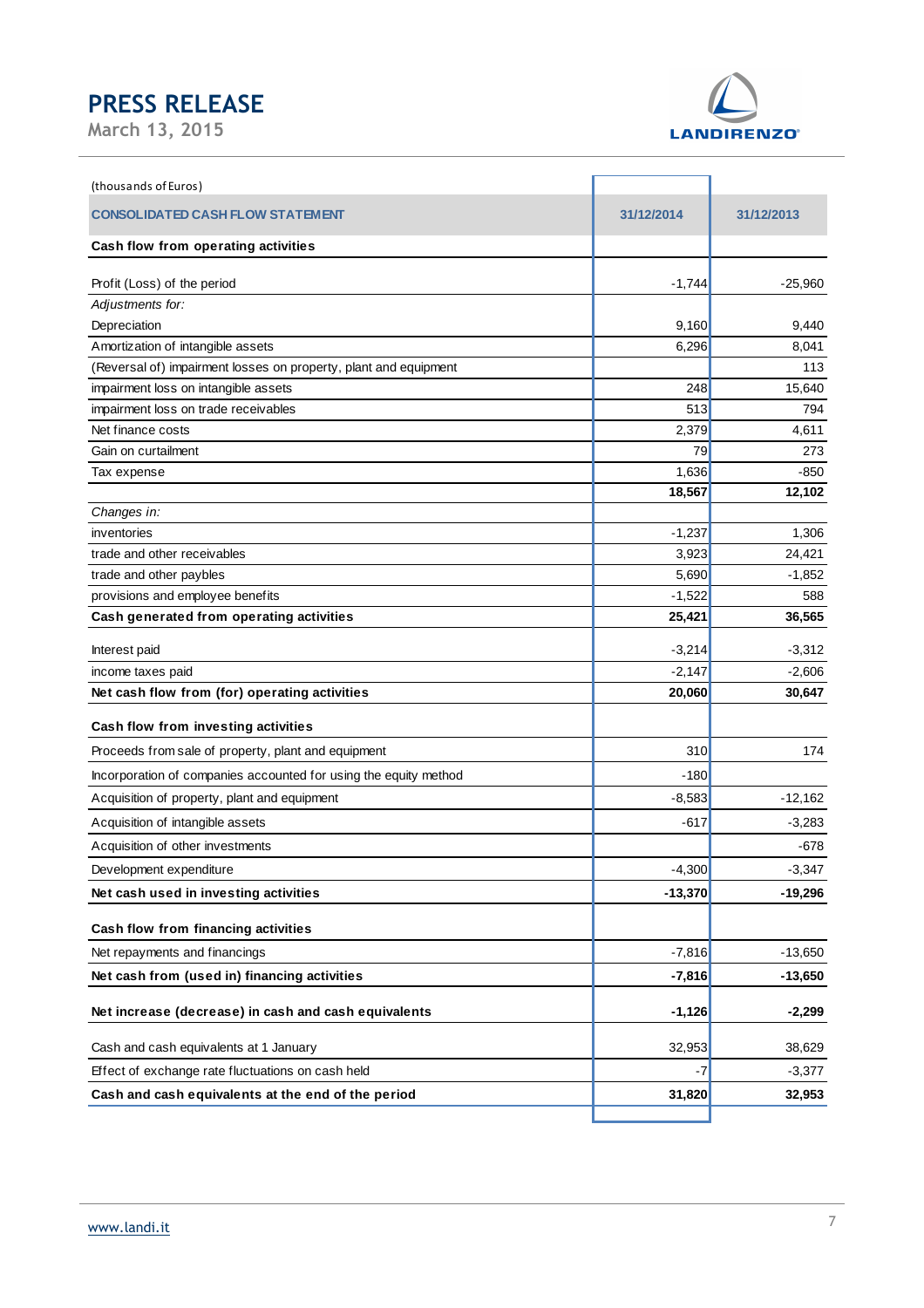

| (thousands of Euros)                                             |            |            |
|------------------------------------------------------------------|------------|------------|
| <b>CONSOLIDATED CASH FLOW STATEMENT</b>                          | 31/12/2014 | 31/12/2013 |
| Cash flow from operating activities                              |            |            |
| Profit (Loss) of the period                                      | $-1,744$   | $-25,960$  |
| Adjustments for:                                                 |            |            |
| Depreciation                                                     | 9,160      | 9,440      |
| Amortization of intangible assets                                | 6,296      | 8,041      |
| (Reversal of) impairment losses on property, plant and equipment |            | 113        |
| impairment loss on intangible assets                             | 248        | 15,640     |
| impairment loss on trade receivables                             | 513        | 794        |
| Net finance costs                                                | 2,379      | 4,611      |
| Gain on curtailment                                              | 79         | 273        |
| Tax expense                                                      | 1,636      | -850       |
|                                                                  | 18,567     | 12,102     |
| Changes in:                                                      |            |            |
| inventories                                                      | $-1,237$   | 1,306      |
| trade and other receivables                                      | 3,923      | 24,421     |
| trade and other paybles                                          | 5,690      | $-1,852$   |
| provisions and employee benefits                                 | $-1,522$   | 588        |
| Cash generated from operating activities                         | 25,421     | 36,565     |
| Interest paid                                                    | $-3,214$   | $-3,312$   |
| income taxes paid                                                | $-2,147$   | $-2,606$   |
| Net cash flow from (for) operating activities                    | 20,060     | 30,647     |
| Cash flow from investing activities                              |            |            |
| Proceeds from sale of property, plant and equipment              | 310        | 174        |
| Incorporation of companies accounted for using the equity method | $-180$     |            |
| Acquisition of property, plant and equipment                     | $-8,583$   | $-12,162$  |
| Acquisition of intangible assets                                 | $-617$     | $-3,283$   |
| Acquisition of other investments                                 |            | -678       |
| Development expenditure                                          | $-4,300$   | $-3,347$   |
| Net cash used in investing activities                            | $-13,370$  | -19,296    |
| Cash flow from financing activities                              |            |            |
| Net repayments and financings                                    | $-7,816$   | $-13,650$  |
| Net cash from (used in) financing activities                     | $-7,816$   | $-13,650$  |
| Net increase (decrease) in cash and cash equivalents             | $-1,126$   | $-2,299$   |
| Cash and cash equivalents at 1 January                           | 32,953     | 38,629     |
| Effect of exchange rate fluctuations on cash held                | -7         | $-3,377$   |
| Cash and cash equivalents at the end of the period               | 31,820     | 32,953     |
|                                                                  |            |            |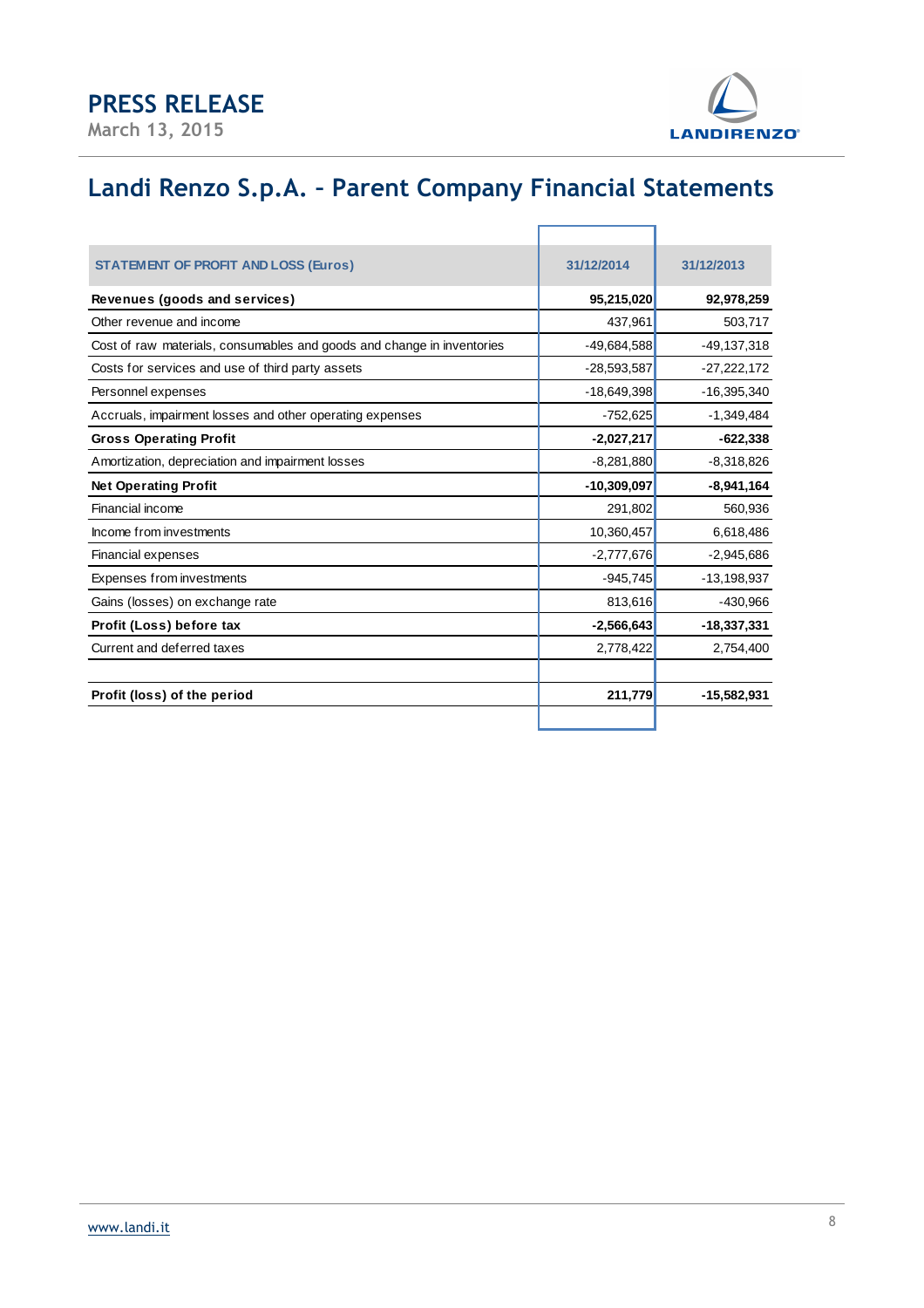**March 13, 2015** 



ī.

# **Landi Renzo S.p.A. – Parent Company Financial Statements**

 $\mathbb{E}$ 

| <b>STATEMENT OF PROFIT AND LOSS (Euros)</b>                            | 31/12/2014    | 31/12/2013    |
|------------------------------------------------------------------------|---------------|---------------|
| Revenues (goods and services)                                          | 95,215,020    | 92,978,259    |
| Other revenue and income                                               | 437,961       | 503,717       |
| Cost of raw materials, consumables and goods and change in inventories | $-49,684,588$ | $-49,137,318$ |
| Costs for services and use of third party assets                       | $-28,593,587$ | $-27,222,172$ |
| Personnel expenses                                                     | $-18,649,398$ | $-16,395,340$ |
| Accruals, impairment losses and other operating expenses               | $-752,625$    | $-1,349,484$  |
| <b>Gross Operating Profit</b>                                          | $-2,027,217$  | $-622,338$    |
| Amortization, depreciation and impairment losses                       | $-8,281,880$  | $-8,318,826$  |
| <b>Net Operating Profit</b>                                            | $-10,309,097$ | $-8,941,164$  |
| Financial income                                                       | 291,802       | 560,936       |
| Income from investments                                                | 10,360,457    | 6,618,486     |
| Financial expenses                                                     | $-2,777,676$  | $-2,945,686$  |
| Expenses from investments                                              | $-945,745$    | $-13,198,937$ |
| Gains (losses) on exchange rate                                        | 813,616       | $-430,966$    |
| Profit (Loss) before tax                                               | $-2,566,643$  | $-18,337,331$ |
| Current and deferred taxes                                             | 2,778,422     | 2,754,400     |
|                                                                        |               |               |
| Profit (loss) of the period                                            | 211,779       | $-15,582,931$ |
|                                                                        |               |               |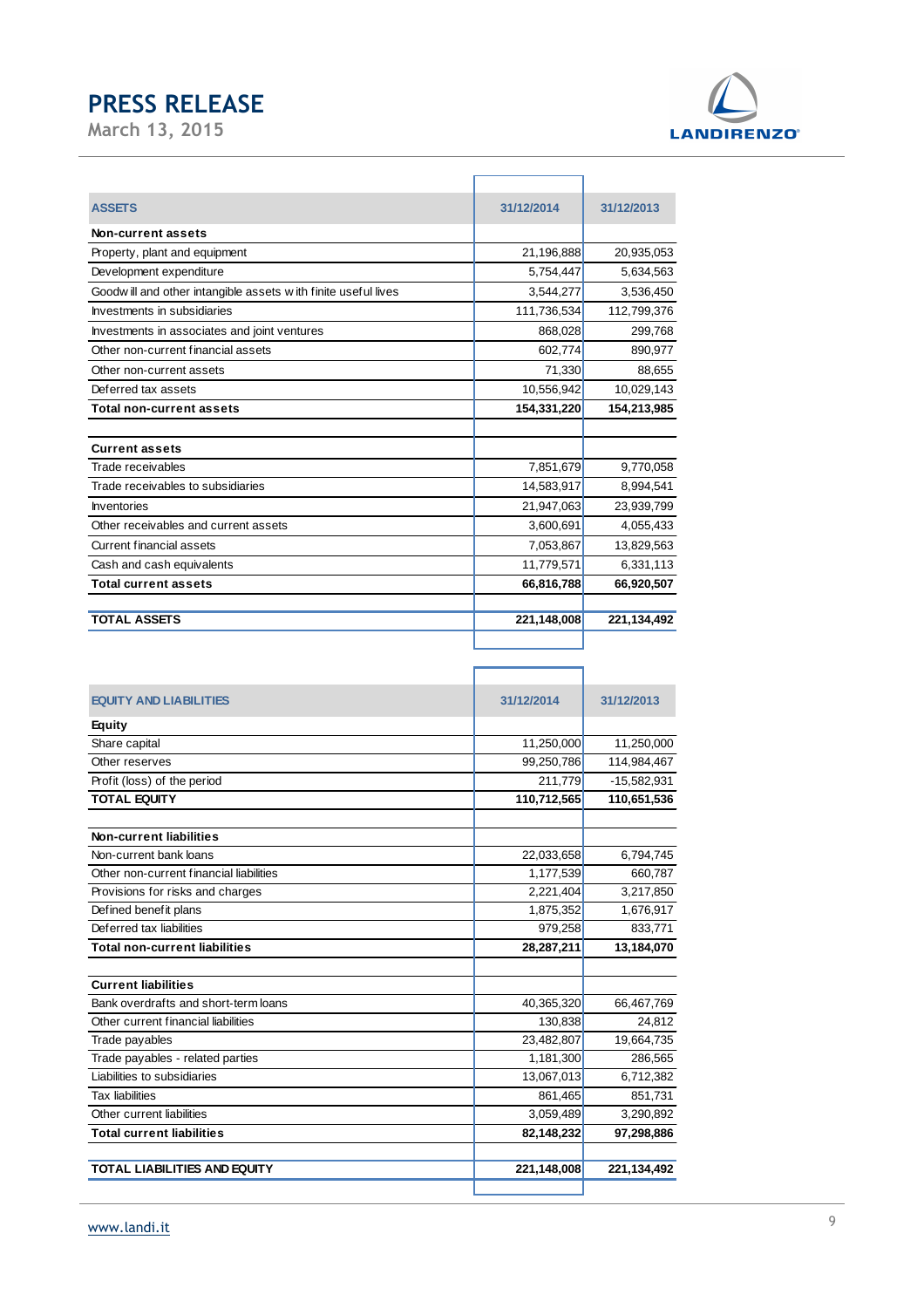

| <b>ASSETS</b>                                                  | 31/12/2014  | 31/12/2013  |
|----------------------------------------------------------------|-------------|-------------|
| Non-current assets                                             |             |             |
| Property, plant and equipment                                  | 21,196,888  | 20,935,053  |
| Development expenditure                                        | 5,754,447   | 5,634,563   |
| Goodw ill and other intangible assets with finite useful lives | 3,544,277   | 3,536,450   |
| Investments in subsidiaries                                    | 111,736,534 | 112,799,376 |
| Investments in associates and joint ventures                   | 868,028     | 299,768     |
| Other non-current financial assets                             | 602,774     | 890,977     |
| Other non-current assets                                       | 71,330      | 88,655      |
| Deferred tax assets                                            | 10,556,942  | 10,029,143  |
| <b>Total non-current assets</b>                                | 154,331,220 | 154,213,985 |
|                                                                |             |             |
| <b>Current assets</b>                                          |             |             |
| Trade receivables                                              | 7,851,679   | 9,770,058   |
| Trade receivables to subsidiaries                              | 14,583,917  | 8,994,541   |
| <b>Inventories</b>                                             | 21,947,063  | 23,939,799  |
| Other receivables and current assets                           | 3,600,691   | 4,055,433   |
| <b>Current financial assets</b>                                | 7,053,867   | 13,829,563  |
| Cash and cash equivalents                                      | 11,779,571  | 6,331,113   |
| <b>Total current assets</b>                                    | 66,816,788  | 66,920,507  |
|                                                                |             |             |
| <b>TOTAL ASSETS</b>                                            | 221,148,008 | 221,134,492 |
|                                                                |             |             |

| <b>TOTAL LIABILITIES AND EQUITY</b>     | 221,148,008 | 221,134,492   |
|-----------------------------------------|-------------|---------------|
| <b>Total current liabilities</b>        | 82,148,232  | 97,298,886    |
| Other current liabilities               | 3,059,489   | 3,290,892     |
| <b>Tax liabilities</b>                  | 861,465     | 851,731       |
| Liabilities to subsidiaries             | 13,067,013  | 6,712,382     |
| Trade payables - related parties        | 1,181,300   | 286,565       |
| Trade payables                          | 23,482,807  | 19,664,735    |
| Other current financial liabilities     | 130,838     | 24,812        |
| Bank overdrafts and short-term loans    | 40,365,320  | 66,467,769    |
| <b>Current liabilities</b>              |             |               |
|                                         |             |               |
| <b>Total non-current liabilities</b>    | 28,287,211  | 13,184,070    |
| Deferred tax liabilities                | 979,258     | 833,771       |
| Defined benefit plans                   | 1,875,352   | 1,676,917     |
| Provisions for risks and charges        | 2,221,404   | 3,217,850     |
| Other non-current financial liabilities | 1,177,539   | 660,787       |
| Non-current bank loans                  | 22,033,658  | 6,794,745     |
| <b>Non-current liabilities</b>          |             |               |
|                                         |             |               |
| <b>TOTAL EQUITY</b>                     | 110,712,565 | 110,651,536   |
| Profit (loss) of the period             | 211,779     | $-15,582,931$ |
| Other reserves                          | 99,250,786  | 114,984,467   |
| Share capital                           | 11,250,000  | 11,250,000    |
| <b>Equity</b>                           |             |               |
| <b>EQUITY AND LIABILITIES</b>           | 31/12/2014  | 31/12/2013    |
|                                         |             |               |